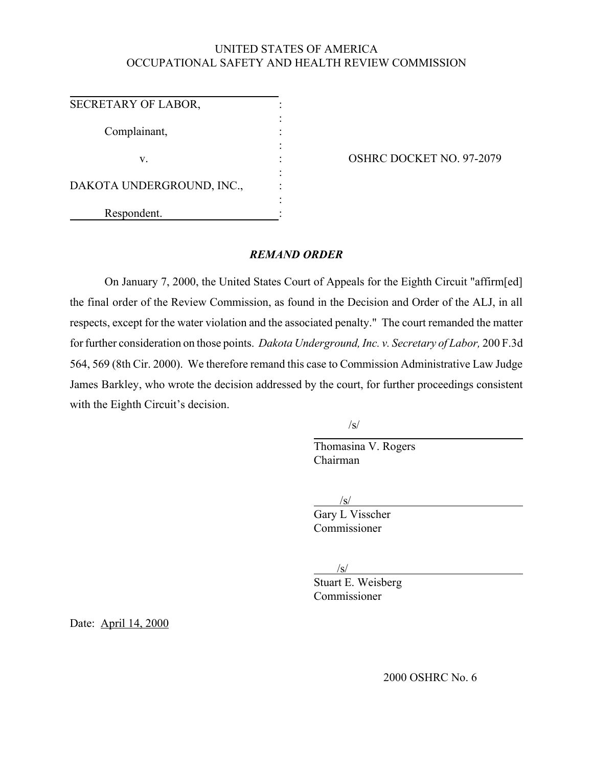# UNITED STATES OF AMERICA OCCUPATIONAL SAFETY AND HEALTH REVIEW COMMISSION

| SECRETARY OF LABOR,       |  |
|---------------------------|--|
| Complainant,              |  |
| V.                        |  |
| DAKOTA UNDERGROUND, INC., |  |
|                           |  |
| Respondent.               |  |

OSHRC DOCKET NO. 97-2079

## *REMAND ORDER*

On January 7, 2000, the United States Court of Appeals for the Eighth Circuit "affirm[ed] the final order of the Review Commission, as found in the Decision and Order of the ALJ, in all respects, except for the water violation and the associated penalty." The court remanded the matter for further consideration on those points. *Dakota Underground, Inc. v. Secretary of Labor,* 200 F.3d 564, 569 (8th Cir. 2000). We therefore remand this case to Commission Administrative Law Judge James Barkley, who wrote the decision addressed by the court, for further proceedings consistent with the Eighth Circuit's decision.

/s/

Thomasina V. Rogers Chairman

 /s/ Gary L Visscher Commissioner

/s/

Stuart E. Weisberg Commissioner

Date: April 14, 2000

2000 OSHRC No. 6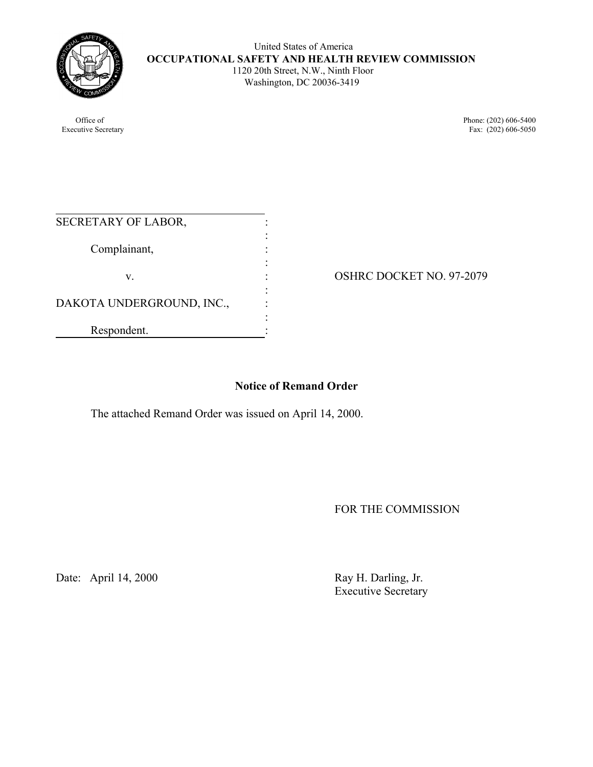

 United States of America **OCCUPATIONAL SAFETY AND HEALTH REVIEW COMMISSION** 1120 20th Street, N.W., Ninth Floor Washington, DC 20036-3419

Office of Phone: (202) 606-5400 Executive Secretary Fax: (202) 606-5050

| SECRETARY OF LABOR,       |  |
|---------------------------|--|
| Complainant,              |  |
| V.                        |  |
|                           |  |
| DAKOTA UNDERGROUND, INC., |  |
| Respondent.               |  |

OSHRC DOCKET NO. 97-2079

# **Notice of Remand Order**

The attached Remand Order was issued on April 14, 2000.

FOR THE COMMISSION

Date: April 14, 2000 Ray H. Darling, Jr.

Executive Secretary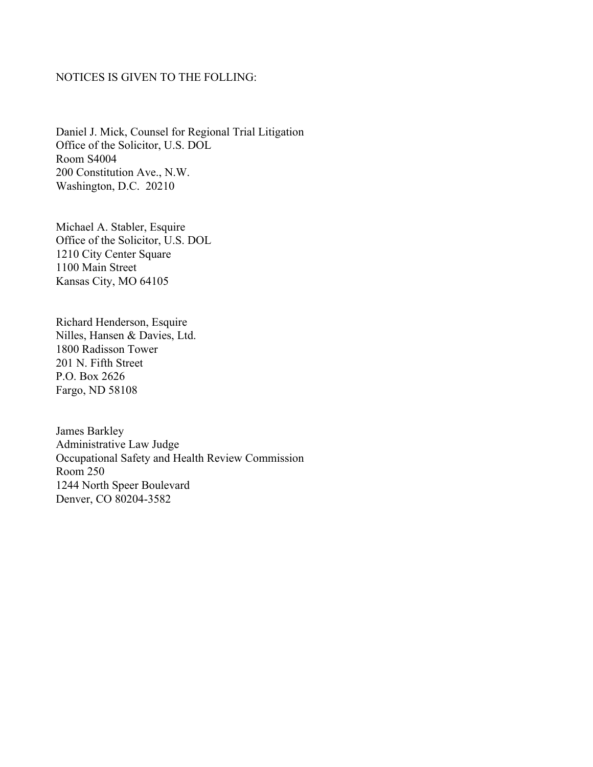## NOTICES IS GIVEN TO THE FOLLING:

Daniel J. Mick, Counsel for Regional Trial Litigation Office of the Solicitor, U.S. DOL Room S4004 200 Constitution Ave., N.W. Washington, D.C. 20210

Michael A. Stabler, Esquire Office of the Solicitor, U.S. DOL 1210 City Center Square 1100 Main Street Kansas City, MO 64105

Richard Henderson, Esquire Nilles, Hansen & Davies, Ltd. 1800 Radisson Tower 201 N. Fifth Street P.O. Box 2626 Fargo, ND 58108

James Barkley Administrative Law Judge Occupational Safety and Health Review Commission Room 250 1244 North Speer Boulevard Denver, CO 80204-3582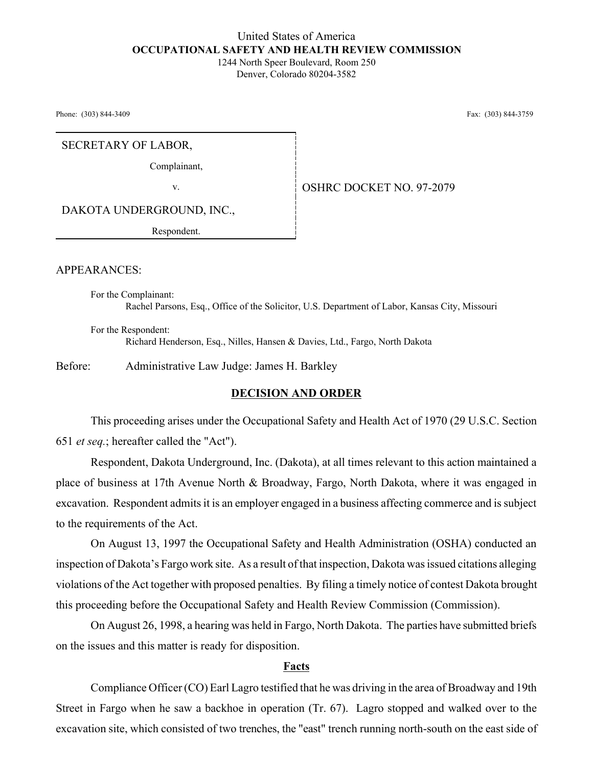## United States of America **OCCUPATIONAL SAFETY AND HEALTH REVIEW COMMISSION**

1244 North Speer Boulevard, Room 250 Denver, Colorado 80204-3582

Phone: (303) 844-3409 Fax: (303) 844-3759

SECRETARY OF LABOR,

Complainant,

v. 6. OSHRC DOCKET NO. 97-2079

DAKOTA UNDERGROUND, INC.,

Respondent.

APPEARANCES:

For the Complainant: Rachel Parsons, Esq., Office of the Solicitor, U.S. Department of Labor, Kansas City, Missouri

For the Respondent: Richard Henderson, Esq., Nilles, Hansen & Davies, Ltd., Fargo, North Dakota

Before: Administrative Law Judge: James H. Barkley

## **DECISION AND ORDER**

This proceeding arises under the Occupational Safety and Health Act of 1970 (29 U.S.C. Section 651 *et seq.*; hereafter called the "Act").

Respondent, Dakota Underground, Inc. (Dakota), at all times relevant to this action maintained a place of business at 17th Avenue North & Broadway, Fargo, North Dakota, where it was engaged in excavation. Respondent admits it is an employer engaged in a business affecting commerce and is subject to the requirements of the Act.

On August 13, 1997 the Occupational Safety and Health Administration (OSHA) conducted an inspection of Dakota's Fargo work site. As a result of that inspection, Dakota was issued citations alleging violations of the Act together with proposed penalties. By filing a timely notice of contest Dakota brought this proceeding before the Occupational Safety and Health Review Commission (Commission).

On August 26, 1998, a hearing was held in Fargo, North Dakota. The parties have submitted briefs on the issues and this matter is ready for disposition.

### **Facts**

Compliance Officer (CO) Earl Lagro testified that he was driving in the area of Broadway and 19th Street in Fargo when he saw a backhoe in operation (Tr. 67). Lagro stopped and walked over to the excavation site, which consisted of two trenches, the "east" trench running north-south on the east side of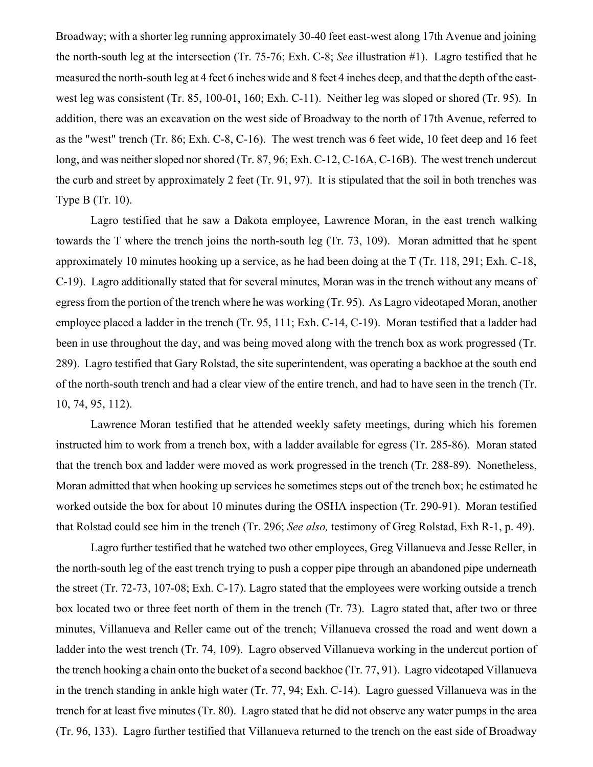Broadway; with a shorter leg running approximately 30-40 feet east-west along 17th Avenue and joining the north-south leg at the intersection (Tr. 75-76; Exh. C-8; *See* illustration #1). Lagro testified that he measured the north-south leg at 4 feet 6 inches wide and 8 feet 4 inches deep, and that the depth of the eastwest leg was consistent (Tr. 85, 100-01, 160; Exh. C-11). Neither leg was sloped or shored (Tr. 95). In addition, there was an excavation on the west side of Broadway to the north of 17th Avenue, referred to as the "west" trench (Tr. 86; Exh. C-8, C-16). The west trench was 6 feet wide, 10 feet deep and 16 feet long, and was neither sloped nor shored (Tr. 87, 96; Exh. C-12, C-16A, C-16B). The west trench undercut the curb and street by approximately 2 feet (Tr. 91, 97). It is stipulated that the soil in both trenches was Type B (Tr. 10).

Lagro testified that he saw a Dakota employee, Lawrence Moran, in the east trench walking towards the T where the trench joins the north-south leg (Tr. 73, 109). Moran admitted that he spent approximately 10 minutes hooking up a service, as he had been doing at the T (Tr. 118, 291; Exh. C-18, C-19). Lagro additionally stated that for several minutes, Moran was in the trench without any means of egress from the portion of the trench where he was working (Tr. 95). As Lagro videotaped Moran, another employee placed a ladder in the trench (Tr. 95, 111; Exh. C-14, C-19). Moran testified that a ladder had been in use throughout the day, and was being moved along with the trench box as work progressed (Tr. 289). Lagro testified that Gary Rolstad, the site superintendent, was operating a backhoe at the south end of the north-south trench and had a clear view of the entire trench, and had to have seen in the trench (Tr. 10, 74, 95, 112).

Lawrence Moran testified that he attended weekly safety meetings, during which his foremen instructed him to work from a trench box, with a ladder available for egress (Tr. 285-86). Moran stated that the trench box and ladder were moved as work progressed in the trench (Tr. 288-89). Nonetheless, Moran admitted that when hooking up services he sometimes steps out of the trench box; he estimated he worked outside the box for about 10 minutes during the OSHA inspection (Tr. 290-91). Moran testified that Rolstad could see him in the trench (Tr. 296; *See also,* testimony of Greg Rolstad, Exh R-1, p. 49).

Lagro further testified that he watched two other employees, Greg Villanueva and Jesse Reller, in the north-south leg of the east trench trying to push a copper pipe through an abandoned pipe underneath the street (Tr. 72-73, 107-08; Exh. C-17). Lagro stated that the employees were working outside a trench box located two or three feet north of them in the trench (Tr. 73). Lagro stated that, after two or three minutes, Villanueva and Reller came out of the trench; Villanueva crossed the road and went down a ladder into the west trench (Tr. 74, 109). Lagro observed Villanueva working in the undercut portion of the trench hooking a chain onto the bucket of a second backhoe (Tr. 77, 91). Lagro videotaped Villanueva in the trench standing in ankle high water (Tr. 77, 94; Exh. C-14). Lagro guessed Villanueva was in the trench for at least five minutes (Tr. 80). Lagro stated that he did not observe any water pumps in the area (Tr. 96, 133). Lagro further testified that Villanueva returned to the trench on the east side of Broadway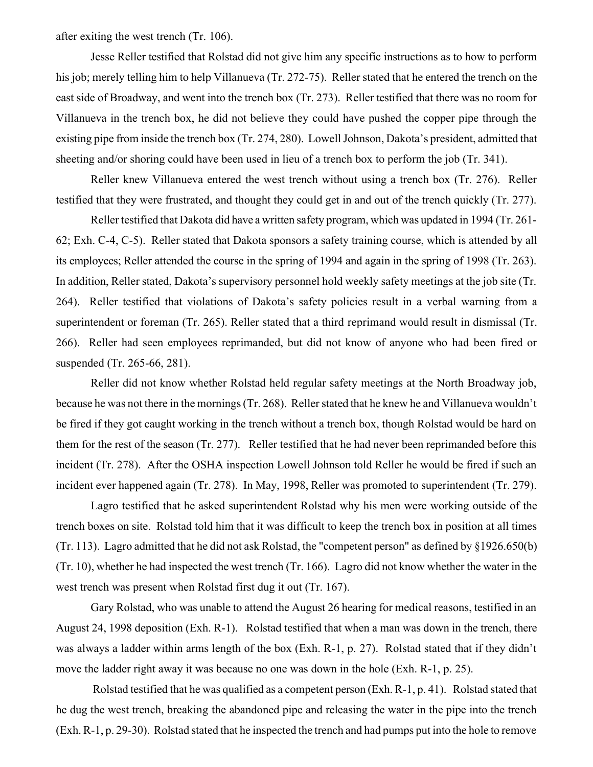after exiting the west trench (Tr. 106).

Jesse Reller testified that Rolstad did not give him any specific instructions as to how to perform his job; merely telling him to help Villanueva (Tr. 272-75). Reller stated that he entered the trench on the east side of Broadway, and went into the trench box (Tr. 273). Reller testified that there was no room for Villanueva in the trench box, he did not believe they could have pushed the copper pipe through the existing pipe from inside the trench box (Tr. 274, 280). Lowell Johnson, Dakota's president, admitted that sheeting and/or shoring could have been used in lieu of a trench box to perform the job (Tr. 341).

Reller knew Villanueva entered the west trench without using a trench box (Tr. 276). Reller testified that they were frustrated, and thought they could get in and out of the trench quickly (Tr. 277).

Reller testified that Dakota did have a written safety program, which was updated in 1994 (Tr. 261- 62; Exh. C-4, C-5). Reller stated that Dakota sponsors a safety training course, which is attended by all its employees; Reller attended the course in the spring of 1994 and again in the spring of 1998 (Tr. 263). In addition, Reller stated, Dakota's supervisory personnel hold weekly safety meetings at the job site (Tr. 264). Reller testified that violations of Dakota's safety policies result in a verbal warning from a superintendent or foreman (Tr. 265). Reller stated that a third reprimand would result in dismissal (Tr. 266). Reller had seen employees reprimanded, but did not know of anyone who had been fired or suspended (Tr. 265-66, 281).

Reller did not know whether Rolstad held regular safety meetings at the North Broadway job, because he was not there in the mornings (Tr. 268). Reller stated that he knew he and Villanueva wouldn't be fired if they got caught working in the trench without a trench box, though Rolstad would be hard on them for the rest of the season (Tr. 277). Reller testified that he had never been reprimanded before this incident (Tr. 278). After the OSHA inspection Lowell Johnson told Reller he would be fired if such an incident ever happened again (Tr. 278). In May, 1998, Reller was promoted to superintendent (Tr. 279).

Lagro testified that he asked superintendent Rolstad why his men were working outside of the trench boxes on site. Rolstad told him that it was difficult to keep the trench box in position at all times (Tr. 113). Lagro admitted that he did not ask Rolstad, the "competent person" as defined by §1926.650(b) (Tr. 10), whether he had inspected the west trench (Tr. 166). Lagro did not know whether the water in the west trench was present when Rolstad first dug it out (Tr. 167).

Gary Rolstad, who was unable to attend the August 26 hearing for medical reasons, testified in an August 24, 1998 deposition (Exh. R-1). Rolstad testified that when a man was down in the trench, there was always a ladder within arms length of the box (Exh. R-1, p. 27). Rolstad stated that if they didn't move the ladder right away it was because no one was down in the hole (Exh. R-1, p. 25).

 Rolstad testified that he was qualified as a competent person (Exh. R-1, p. 41). Rolstad stated that he dug the west trench, breaking the abandoned pipe and releasing the water in the pipe into the trench (Exh. R-1, p. 29-30). Rolstad stated that he inspected the trench and had pumps put into the hole to remove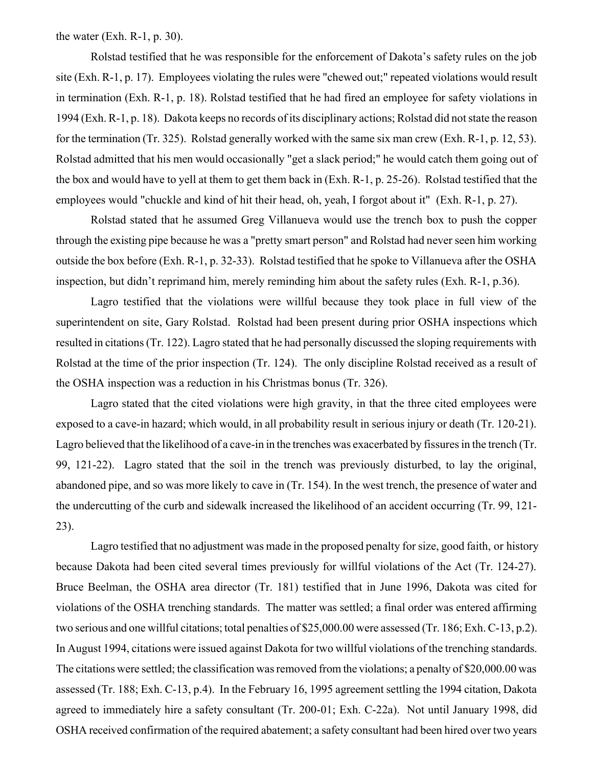the water (Exh. R-1, p. 30).

Rolstad testified that he was responsible for the enforcement of Dakota's safety rules on the job site (Exh. R-1, p. 17). Employees violating the rules were "chewed out;" repeated violations would result in termination (Exh. R-1, p. 18). Rolstad testified that he had fired an employee for safety violations in 1994 (Exh. R-1, p. 18). Dakota keeps no records of its disciplinary actions; Rolstad did not state the reason for the termination (Tr. 325). Rolstad generally worked with the same six man crew (Exh. R-1, p. 12, 53). Rolstad admitted that his men would occasionally "get a slack period;" he would catch them going out of the box and would have to yell at them to get them back in (Exh. R-1, p. 25-26). Rolstad testified that the employees would "chuckle and kind of hit their head, oh, yeah, I forgot about it" (Exh. R-1, p. 27).

Rolstad stated that he assumed Greg Villanueva would use the trench box to push the copper through the existing pipe because he was a "pretty smart person" and Rolstad had never seen him working outside the box before (Exh. R-1, p. 32-33). Rolstad testified that he spoke to Villanueva after the OSHA inspection, but didn't reprimand him, merely reminding him about the safety rules (Exh. R-1, p.36).

Lagro testified that the violations were willful because they took place in full view of the superintendent on site, Gary Rolstad. Rolstad had been present during prior OSHA inspections which resulted in citations (Tr. 122). Lagro stated that he had personally discussed the sloping requirements with Rolstad at the time of the prior inspection (Tr. 124). The only discipline Rolstad received as a result of the OSHA inspection was a reduction in his Christmas bonus (Tr. 326).

Lagro stated that the cited violations were high gravity, in that the three cited employees were exposed to a cave-in hazard; which would, in all probability result in serious injury or death (Tr. 120-21). Lagro believed that the likelihood of a cave-in in the trenches was exacerbated by fissures in the trench (Tr. 99, 121-22). Lagro stated that the soil in the trench was previously disturbed, to lay the original, abandoned pipe, and so was more likely to cave in (Tr. 154). In the west trench, the presence of water and the undercutting of the curb and sidewalk increased the likelihood of an accident occurring (Tr. 99, 121- 23).

 Lagro testified that no adjustment was made in the proposed penalty for size, good faith, or history because Dakota had been cited several times previously for willful violations of the Act (Tr. 124-27). Bruce Beelman, the OSHA area director (Tr. 181) testified that in June 1996, Dakota was cited for violations of the OSHA trenching standards. The matter was settled; a final order was entered affirming two serious and one willful citations; total penalties of \$25,000.00 were assessed (Tr. 186; Exh. C-13, p.2). In August 1994, citations were issued against Dakota for two willful violations of the trenching standards. The citations were settled; the classification was removed from the violations; a penalty of \$20,000.00 was assessed (Tr. 188; Exh. C-13, p.4). In the February 16, 1995 agreement settling the 1994 citation, Dakota agreed to immediately hire a safety consultant (Tr. 200-01; Exh. C-22a). Not until January 1998, did OSHA received confirmation of the required abatement; a safety consultant had been hired over two years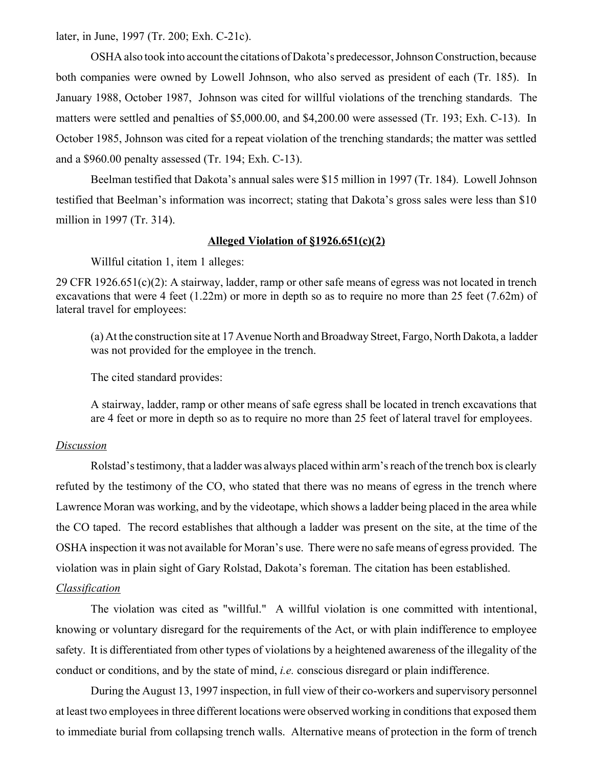later, in June, 1997 (Tr. 200; Exh. C-21c).

OSHA also took into account the citations of Dakota's predecessor, Johnson Construction, because both companies were owned by Lowell Johnson, who also served as president of each (Tr. 185). In January 1988, October 1987, Johnson was cited for willful violations of the trenching standards. The matters were settled and penalties of \$5,000.00, and \$4,200.00 were assessed (Tr. 193; Exh. C-13). In October 1985, Johnson was cited for a repeat violation of the trenching standards; the matter was settled and a \$960.00 penalty assessed (Tr. 194; Exh. C-13).

Beelman testified that Dakota's annual sales were \$15 million in 1997 (Tr. 184). Lowell Johnson testified that Beelman's information was incorrect; stating that Dakota's gross sales were less than \$10 million in 1997 (Tr. 314).

## **Alleged Violation of §1926.651(c)(2)**

Willful citation 1, item 1 alleges:

29 CFR 1926.651(c)(2): A stairway, ladder, ramp or other safe means of egress was not located in trench excavations that were 4 feet (1.22m) or more in depth so as to require no more than 25 feet (7.62m) of lateral travel for employees:

 (a) At the construction site at 17 Avenue North and Broadway Street, Fargo, North Dakota, a ladder was not provided for the employee in the trench.

The cited standard provides:

A stairway, ladder, ramp or other means of safe egress shall be located in trench excavations that are 4 feet or more in depth so as to require no more than 25 feet of lateral travel for employees.

#### *Discussion*

Rolstad's testimony, that a ladder was always placed within arm's reach of the trench box is clearly refuted by the testimony of the CO, who stated that there was no means of egress in the trench where Lawrence Moran was working, and by the videotape, which shows a ladder being placed in the area while the CO taped. The record establishes that although a ladder was present on the site, at the time of the OSHA inspection it was not available for Moran's use. There were no safe means of egress provided. The violation was in plain sight of Gary Rolstad, Dakota's foreman. The citation has been established.

## *Classification*

The violation was cited as "willful." A willful violation is one committed with intentional, knowing or voluntary disregard for the requirements of the Act, or with plain indifference to employee safety. It is differentiated from other types of violations by a heightened awareness of the illegality of the conduct or conditions, and by the state of mind, *i.e.* conscious disregard or plain indifference.

During the August 13, 1997 inspection, in full view of their co-workers and supervisory personnel at least two employees in three different locations were observed working in conditions that exposed them to immediate burial from collapsing trench walls. Alternative means of protection in the form of trench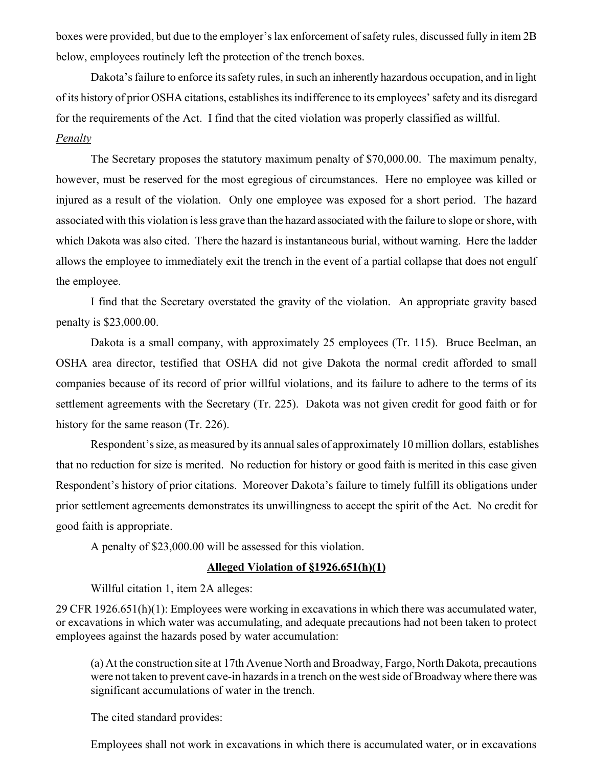boxes were provided, but due to the employer's lax enforcement of safety rules, discussed fully in item 2B below, employees routinely left the protection of the trench boxes.

Dakota's failure to enforce its safety rules, in such an inherently hazardous occupation, and in light of its history of prior OSHA citations, establishes its indifference to its employees' safety and its disregard for the requirements of the Act. I find that the cited violation was properly classified as willful. *Penalty*

The Secretary proposes the statutory maximum penalty of \$70,000.00. The maximum penalty, however, must be reserved for the most egregious of circumstances. Here no employee was killed or injured as a result of the violation. Only one employee was exposed for a short period. The hazard associated with this violation is less grave than the hazard associated with the failure to slope or shore, with which Dakota was also cited. There the hazard is instantaneous burial, without warning. Here the ladder allows the employee to immediately exit the trench in the event of a partial collapse that does not engulf the employee.

I find that the Secretary overstated the gravity of the violation. An appropriate gravity based penalty is \$23,000.00.

Dakota is a small company, with approximately 25 employees (Tr. 115). Bruce Beelman, an OSHA area director, testified that OSHA did not give Dakota the normal credit afforded to small companies because of its record of prior willful violations, and its failure to adhere to the terms of its settlement agreements with the Secretary (Tr. 225). Dakota was not given credit for good faith or for history for the same reason (Tr. 226).

 Respondent's size, as measured by its annual sales of approximately 10 million dollars, establishes that no reduction for size is merited. No reduction for history or good faith is merited in this case given Respondent's history of prior citations. Moreover Dakota's failure to timely fulfill its obligations under prior settlement agreements demonstrates its unwillingness to accept the spirit of the Act. No credit for good faith is appropriate.

A penalty of \$23,000.00 will be assessed for this violation.

#### **Alleged Violation of §1926.651(h)(1)**

Willful citation 1, item 2A alleges:

29 CFR 1926.651(h)(1): Employees were working in excavations in which there was accumulated water, or excavations in which water was accumulating, and adequate precautions had not been taken to protect employees against the hazards posed by water accumulation:

(a) At the construction site at 17th Avenue North and Broadway, Fargo, North Dakota, precautions were not taken to prevent cave-in hazards in a trench on the west side of Broadway where there was significant accumulations of water in the trench.

The cited standard provides:

Employees shall not work in excavations in which there is accumulated water, or in excavations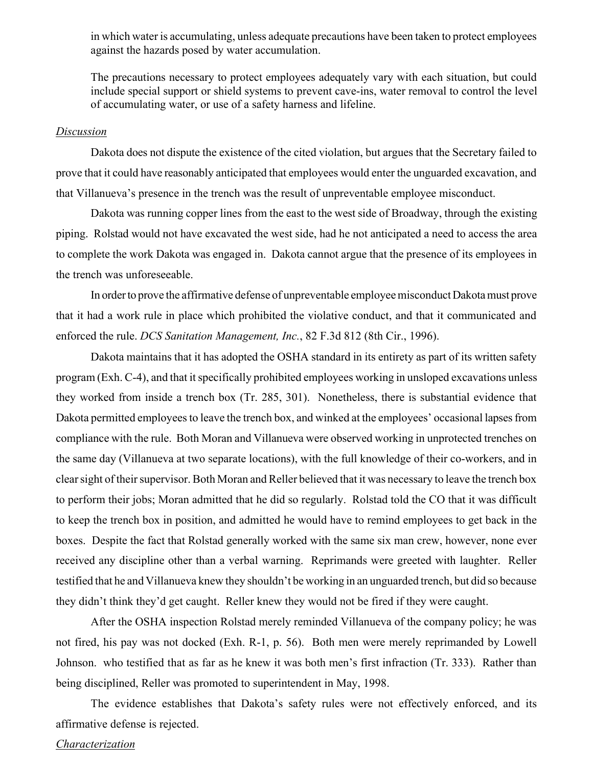in which water is accumulating, unless adequate precautions have been taken to protect employees against the hazards posed by water accumulation.

The precautions necessary to protect employees adequately vary with each situation, but could include special support or shield systems to prevent cave-ins, water removal to control the level of accumulating water, or use of a safety harness and lifeline.

#### *Discussion*

Dakota does not dispute the existence of the cited violation, but argues that the Secretary failed to prove that it could have reasonably anticipated that employees would enter the unguarded excavation, and that Villanueva's presence in the trench was the result of unpreventable employee misconduct.

 Dakota was running copper lines from the east to the west side of Broadway, through the existing piping. Rolstad would not have excavated the west side, had he not anticipated a need to access the area to complete the work Dakota was engaged in. Dakota cannot argue that the presence of its employees in the trench was unforeseeable.

In order to prove the affirmative defense of unpreventable employee misconduct Dakota must prove that it had a work rule in place which prohibited the violative conduct, and that it communicated and enforced the rule. *DCS Sanitation Management, Inc.*, 82 F.3d 812 (8th Cir., 1996).

Dakota maintains that it has adopted the OSHA standard in its entirety as part of its written safety program (Exh. C-4), and that it specifically prohibited employees working in unsloped excavations unless they worked from inside a trench box (Tr. 285, 301). Nonetheless, there is substantial evidence that Dakota permitted employees to leave the trench box, and winked at the employees' occasional lapses from compliance with the rule. Both Moran and Villanueva were observed working in unprotected trenches on the same day (Villanueva at two separate locations), with the full knowledge of their co-workers, and in clear sight of their supervisor. Both Moran and Reller believed that it was necessary to leave the trench box to perform their jobs; Moran admitted that he did so regularly. Rolstad told the CO that it was difficult to keep the trench box in position, and admitted he would have to remind employees to get back in the boxes. Despite the fact that Rolstad generally worked with the same six man crew, however, none ever received any discipline other than a verbal warning. Reprimands were greeted with laughter. Reller testified that he and Villanueva knew they shouldn't be working in an unguarded trench, but did so because they didn't think they'd get caught. Reller knew they would not be fired if they were caught.

After the OSHA inspection Rolstad merely reminded Villanueva of the company policy; he was not fired, his pay was not docked (Exh. R-1, p. 56). Both men were merely reprimanded by Lowell Johnson. who testified that as far as he knew it was both men's first infraction (Tr. 333). Rather than being disciplined, Reller was promoted to superintendent in May, 1998.

The evidence establishes that Dakota's safety rules were not effectively enforced, and its affirmative defense is rejected.

#### *Characterization*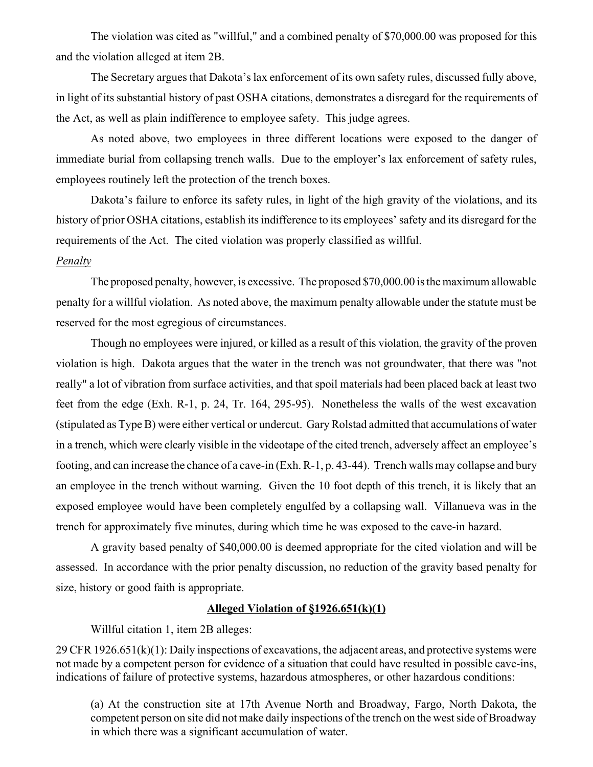The violation was cited as "willful," and a combined penalty of \$70,000.00 was proposed for this and the violation alleged at item 2B.

The Secretary argues that Dakota's lax enforcement of its own safety rules, discussed fully above, in light of its substantial history of past OSHA citations, demonstrates a disregard for the requirements of the Act, as well as plain indifference to employee safety. This judge agrees.

As noted above, two employees in three different locations were exposed to the danger of immediate burial from collapsing trench walls. Due to the employer's lax enforcement of safety rules, employees routinely left the protection of the trench boxes.

Dakota's failure to enforce its safety rules, in light of the high gravity of the violations, and its history of prior OSHA citations, establish its indifference to its employees' safety and its disregard for the requirements of the Act. The cited violation was properly classified as willful.

## *Penalty*

The proposed penalty, however, is excessive. The proposed \$70,000.00 is the maximum allowable penalty for a willful violation. As noted above, the maximum penalty allowable under the statute must be reserved for the most egregious of circumstances.

Though no employees were injured, or killed as a result of this violation, the gravity of the proven violation is high. Dakota argues that the water in the trench was not groundwater, that there was "not really" a lot of vibration from surface activities, and that spoil materials had been placed back at least two feet from the edge (Exh. R-1, p. 24, Tr. 164, 295-95). Nonetheless the walls of the west excavation (stipulated as Type B) were either vertical or undercut. Gary Rolstad admitted that accumulations of water in a trench, which were clearly visible in the videotape of the cited trench, adversely affect an employee's footing, and can increase the chance of a cave-in (Exh. R-1, p. 43-44). Trench walls may collapse and bury an employee in the trench without warning. Given the 10 foot depth of this trench, it is likely that an exposed employee would have been completely engulfed by a collapsing wall. Villanueva was in the trench for approximately five minutes, during which time he was exposed to the cave-in hazard.

 A gravity based penalty of \$40,000.00 is deemed appropriate for the cited violation and will be assessed. In accordance with the prior penalty discussion, no reduction of the gravity based penalty for size, history or good faith is appropriate.

## **Alleged Violation of §1926.651(k)(1)**

Willful citation 1, item 2B alleges:

29 CFR 1926.651(k)(1): Daily inspections of excavations, the adjacent areas, and protective systems were not made by a competent person for evidence of a situation that could have resulted in possible cave-ins, indications of failure of protective systems, hazardous atmospheres, or other hazardous conditions:

(a) At the construction site at 17th Avenue North and Broadway, Fargo, North Dakota, the competent person on site did not make daily inspections of the trench on the west side of Broadway in which there was a significant accumulation of water.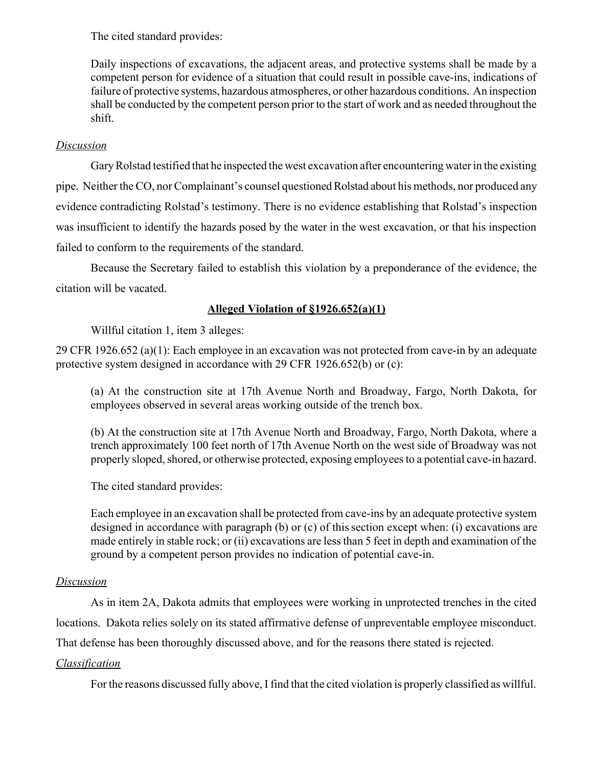The cited standard provides:

Daily inspections of excavations, the adjacent areas, and protective systems shall be made by a competent person for evidence of a situation that could result in possible cave-ins, indications of failure of protective systems, hazardous atmospheres, or other hazardous conditions. An inspection shall be conducted by the competent person prior to the start of work and as needed throughout the shift.

## *Discussion*

Gary Rolstad testified that he inspected the west excavation after encountering water in the existing pipe. Neither the CO, nor Complainant's counsel questioned Rolstad about his methods, nor produced any evidence contradicting Rolstad's testimony. There is no evidence establishing that Rolstad's inspection was insufficient to identify the hazards posed by the water in the west excavation, or that his inspection failed to conform to the requirements of the standard.

Because the Secretary failed to establish this violation by a preponderance of the evidence, the citation will be vacated.

# **Alleged Violation of §1926.652(a)(1)**

Willful citation 1, item 3 alleges:

29 CFR 1926.652 (a)(1): Each employee in an excavation was not protected from cave-in by an adequate protective system designed in accordance with 29 CFR 1926.652(b) or (c):

(a) At the construction site at 17th Avenue North and Broadway, Fargo, North Dakota, for employees observed in several areas working outside of the trench box.

(b) At the construction site at 17th Avenue North and Broadway, Fargo, North Dakota, where a trench approximately 100 feet north of 17th Avenue North on the west side of Broadway was not properly sloped, shored, or otherwise protected, exposing employees to a potential cave-in hazard.

The cited standard provides:

Each employee in an excavation shall be protected from cave-ins by an adequate protective system designed in accordance with paragraph (b) or (c) of this section except when: (i) excavations are made entirely in stable rock; or (ii) excavations are less than 5 feet in depth and examination of the ground by a competent person provides no indication of potential cave-in.

# *Discussion*

As in item 2A, Dakota admits that employees were working in unprotected trenches in the cited locations. Dakota relies solely on its stated affirmative defense of unpreventable employee misconduct.

That defense has been thoroughly discussed above, and for the reasons there stated is rejected.

# *Classification*

For the reasons discussed fully above, I find that the cited violation is properly classified as willful.